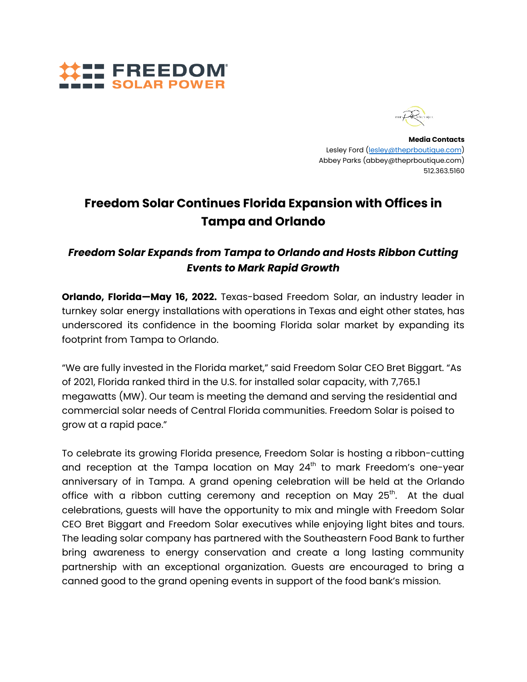



**Media Contacts** Lesley Ford ([lesley@theprboutique.com](mailto:lesley@theprboutique.com)) Abbey Parks (abbey@theprboutique.com) 512.363.5160

# **Freedom Solar Continues Florida Expansion with Offices in Tampa and Orlando**

## *Freedom Solar Expands from Tampa to Orlando and Hosts Ribbon Cutting Events to Mark Rapid Growth*

**Orlando, Florida—May 16, 2022.** Texas-based Freedom Solar, an industry leader in turnkey solar energy installations with operations in Texas and eight other states, has underscored its confidence in the booming Florida solar market by expanding its footprint from Tampa to Orlando.

"We are fully invested in the Florida market," said Freedom Solar CEO Bret Biggart. ["As](https://www.seia.org/research-resources/top-10-solar-states-0) of [2021,](https://www.seia.org/research-resources/top-10-solar-states-0) Florida ranked third in the U.S. for installed solar capacity, with 7,765.1 megawatts (MW). Our team is meeting the demand and serving the residential and commercial solar needs of Central Florida communities. Freedom Solar is poised to grow at a rapid pace."

To celebrate its growing Florida presence, Freedom Solar is hosting a ribbon-cutting and reception at the Tampa location on May 24 $^{\rm th}$  to mark Freedom's one-year anniversary of in Tampa. A grand opening celebration will be held at the Orlando office with a ribbon cutting ceremony and reception on May 25 $^{\rm th}$ . At the dual celebrations, guests will have the opportunity to mix and mingle with Freedom Solar CEO Bret Biggart and Freedom Solar executives while enjoying light bites and tours. The leading solar company has partnered with the Southeastern Food Bank to further bring awareness to energy conservation and create a long lasting community partnership with an exceptional organization. Guests are encouraged to bring a canned good to the grand opening events in support of the food bank's mission.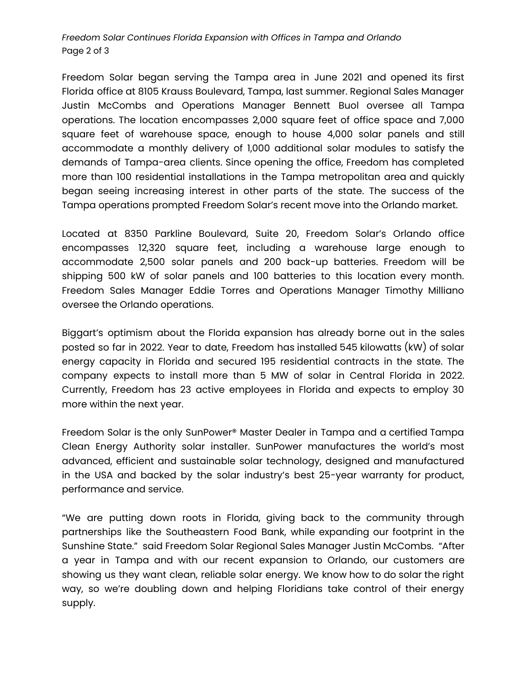### *Freedom Solar Continues Florida Expansion with Offices in Tampa and Orlando* Page 2 of 3

Freedom Solar began serving the Tampa area in June 2021 and opened its first Florida office at 8105 Krauss Boulevard, Tampa, last summer. Regional Sales Manager Justin McCombs and Operations Manager Bennett Buol oversee all Tampa operations. The location encompasses 2,000 square feet of office space and 7,000 square feet of warehouse space, enough to house 4,000 solar panels and still accommodate a monthly delivery of 1,000 additional solar modules to satisfy the demands of Tampa-area clients. Since opening the office, Freedom has completed more than 100 residential installations in the Tampa metropolitan area and quickly began seeing increasing interest in other parts of the state. The success of the Tampa operations prompted Freedom Solar's recent move into the Orlando market.

Located at 8350 Parkline Boulevard, Suite 20, Freedom Solar's Orlando office encompasses 12,320 square feet, including a warehouse large enough to accommodate 2,500 solar panels and 200 back-up batteries. Freedom will be shipping 500 kW of solar panels and 100 batteries to this location every month. Freedom Sales Manager Eddie Torres and Operations Manager Timothy Milliano oversee the Orlando operations.

Biggart's optimism about the Florida expansion has already borne out in the sales posted so far in 2022. Year to date, Freedom has installed 545 kilowatts (kW) of solar energy capacity in Florida and secured 195 residential contracts in the state. The company expects to install more than 5 MW of solar in Central Florida in 2022. Currently, Freedom has 23 active employees in Florida and expects to employ 30 more within the next year.

Freedom Solar is the only SunPower® Master Dealer in Tampa and a certified Tampa Clean Energy Authority solar installer. SunPower manufactures the world's most advanced, efficient and sustainable solar technology, designed and manufactured in the USA and backed by the solar industry's best 25-year warranty for product, performance and service.

"We are putting down roots in Florida, giving back to the community through partnerships like the Southeastern Food Bank, while expanding our footprint in the Sunshine State." said Freedom Solar Regional Sales Manager Justin McCombs. "After a year in Tampa and with our recent expansion to Orlando, our customers are showing us they want clean, reliable solar energy. We know how to do solar the right way, so we're doubling down and helping Floridians take control of their energy supply.